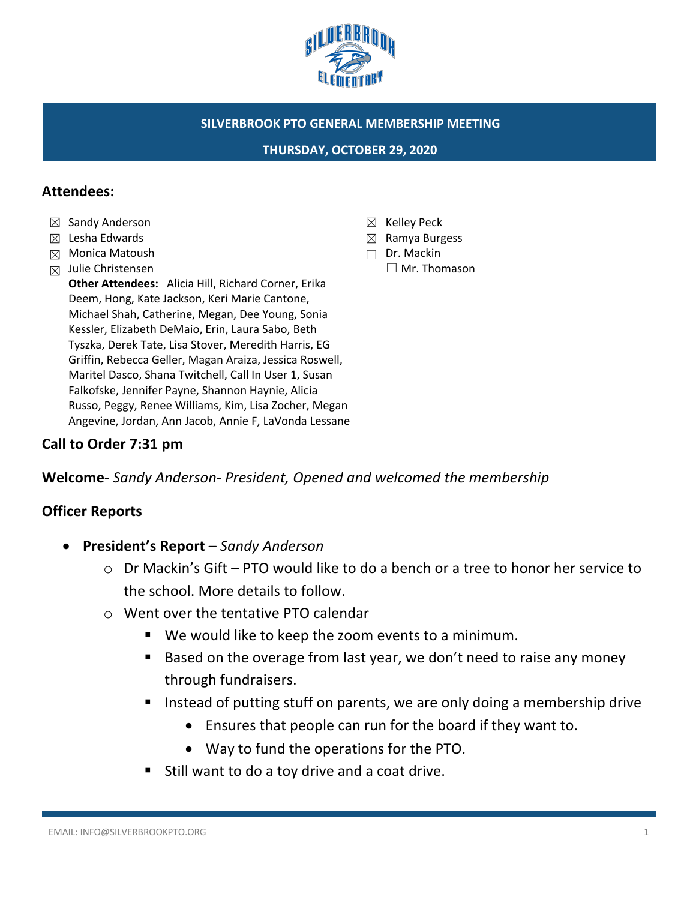

#### **SILVERBROOK PTO GENERAL MEMBERSHIP MEETING**

**THURSDAY, OCTOBER 29, 2020**

#### **Attendees:**

- ☒ Sandy Anderson
- ☒ Lesha Edwards
- ☒ Monica Matoush
- $\boxtimes$  Julie Christensen

**Other Attendees:** Alicia Hill, Richard Corner, Erika Deem, Hong, Kate Jackson, Keri Marie Cantone, Michael Shah, Catherine, Megan, Dee Young, Sonia Kessler, Elizabeth DeMaio, Erin, Laura Sabo, Beth Tyszka, Derek Tate, Lisa Stover, Meredith Harris, EG Griffin, Rebecca Geller, Magan Araiza, Jessica Roswell, Maritel Dasco, Shana Twitchell, Call In User 1, Susan Falkofske, Jennifer Payne, Shannon Haynie, Alicia Russo, Peggy, Renee Williams, Kim, Lisa Zocher, Megan Angevine, Jordan, Ann Jacob, Annie F, LaVonda Lessane

## **Call to Order 7:31 pm**

**Welcome-** *Sandy Anderson- President, Opened and welcomed the membership*

# **Officer Reports**

- **President's Report**  *Sandy Anderson*
	- o Dr Mackin's Gift PTO would like to do a bench or a tree to honor her service to the school. More details to follow.
	- o Went over the tentative PTO calendar
		- We would like to keep the zoom events to a minimum.
		- Based on the overage from last year, we don't need to raise any money through fundraisers.
		- Instead of putting stuff on parents, we are only doing a membership drive
			- Ensures that people can run for the board if they want to.
			- Way to fund the operations for the PTO.
		- Still want to do a toy drive and a coat drive.
- ☒ Kelley Peck
- ☒ Ramya Burgess
- ☐ Dr. Mackin ☐ Mr. Thomason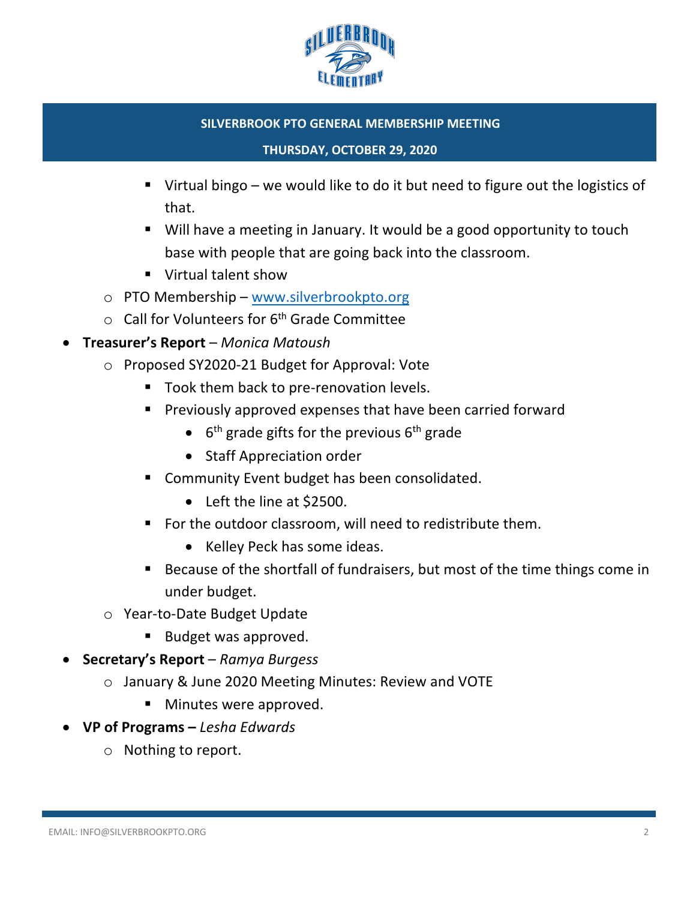

#### **SILVERBROOK PTO GENERAL MEMBERSHIP MEETING**

#### **THURSDAY, OCTOBER 29, 2020**

- Virtual bingo we would like to do it but need to figure out the logistics of that.
- Will have a meeting in January. It would be a good opportunity to touch base with people that are going back into the classroom.
- Virtual talent show
- o PTO Membership www.silverbrookpto.org
- $\circ$  Call for Volunteers for 6<sup>th</sup> Grade Committee
- **Treasurer's Report** *Monica Matoush* 
	- o Proposed SY2020-21 Budget for Approval: Vote
		- Took them back to pre-renovation levels.
		- § Previously approved expenses that have been carried forward
			- $\bullet$  6<sup>th</sup> grade gifts for the previous 6<sup>th</sup> grade
			- Staff Appreciation order
		- Community Event budget has been consolidated.
			- Left the line at \$2500.
		- For the outdoor classroom, will need to redistribute them.
			- Kelley Peck has some ideas.
		- Because of the shortfall of fundraisers, but most of the time things come in under budget.
	- o Year-to-Date Budget Update
		- Budget was approved.
- **Secretary's Report**  *Ramya Burgess*
	- o January & June 2020 Meeting Minutes: Review and VOTE
		- Minutes were approved.
- **VP of Programs –** *Lesha Edwards*
	- o Nothing to report.